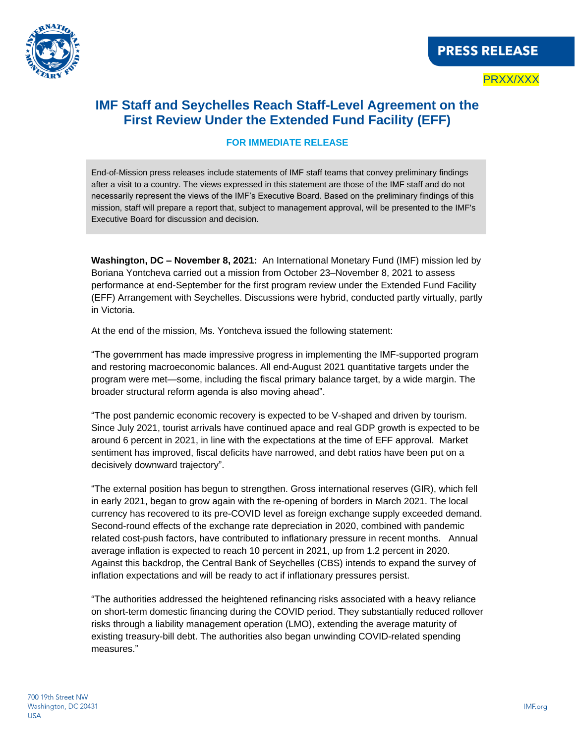

PRXX/XXX

## **IMF Staff and Seychelles Reach Staff-Level Agreement on the First Review Under the Extended Fund Facility (EFF)**

## **FOR IMMEDIATE RELEASE**

End-of-Mission press releases include statements of IMF staff teams that convey preliminary findings after a visit to a country. The views expressed in this statement are those of the IMF staff and do not necessarily represent the views of the IMF's Executive Board. Based on the preliminary findings of this mission, staff will prepare a report that, subject to management approval, will be presented to the IMF's Executive Board for discussion and decision.

**Washington, DC – November 8, 2021:** An International Monetary Fund (IMF) mission led by Boriana Yontcheva carried out a mission from October 23–November 8, 2021 to assess performance at end-September for the first program review under the Extended Fund Facility (EFF) Arrangement with Seychelles. Discussions were hybrid, conducted partly virtually, partly in Victoria.

At the end of the mission, Ms. Yontcheva issued the following statement:

"The government has made impressive progress in implementing the IMF-supported program and restoring macroeconomic balances. All end-August 2021 quantitative targets under the program were met—some, including the fiscal primary balance target, by a wide margin. The broader structural reform agenda is also moving ahead".

"The post pandemic economic recovery is expected to be V-shaped and driven by tourism. Since July 2021, tourist arrivals have continued apace and real GDP growth is expected to be around 6 percent in 2021, in line with the expectations at the time of EFF approval. Market sentiment has improved, fiscal deficits have narrowed, and debt ratios have been put on a decisively downward trajectory".

"The external position has begun to strengthen. Gross international reserves (GIR), which fell in early 2021, began to grow again with the re-opening of borders in March 2021. The local currency has recovered to its pre-COVID level as foreign exchange supply exceeded demand. Second-round effects of the exchange rate depreciation in 2020, combined with pandemic related cost-push factors, have contributed to inflationary pressure in recent months. Annual average inflation is expected to reach 10 percent in 2021, up from 1.2 percent in 2020. Against this backdrop, the Central Bank of Seychelles (CBS) intends to expand the survey of inflation expectations and will be ready to act if inflationary pressures persist.

"The authorities addressed the heightened refinancing risks associated with a heavy reliance on short-term domestic financing during the COVID period. They substantially reduced rollover risks through a liability management operation (LMO), extending the average maturity of existing treasury-bill debt. The authorities also began unwinding COVID-related spending measures."